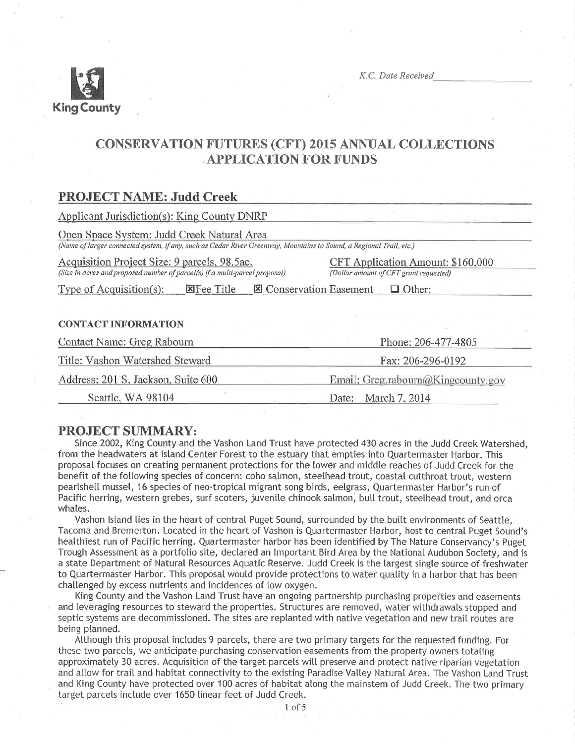

K.C. Date Received

# **CONSERVATION FUTURES (CFT) 2015 ANNUAL COLLECTIONS APPLICATION FOR FUNDS**

# **PROJECT NAME: Judd Creek**

**Applicant Jurisdiction(s): King County DNRP** 

Open Space System: Judd Creek Natural Area

(Name of larger connected system, if any, such as Cedar River Greenway, Mountains to Sound, a Regional Trail, etc.)

Acquisition Project Size: 9 parcels, 98.5ac. (Size in acres and proposed number of parcel(s) if a multi-parcel proposal) CFT Application Amount: \$160,000 (Dollar amount of CFT grant requested)

Type of Acquisition(s): EFee Title El Conservation Easement  $\Box$  Other:

## **CONTACT INFORMATION**

| Contact Name: Greg Rabourn         | Phone: 206-477-4805                |  |  |
|------------------------------------|------------------------------------|--|--|
| Title: Vashon Watershed Steward    | Fax: 206-296-0192                  |  |  |
| Address: 201 S. Jackson, Suite 600 | Email: Greg.rabourn@Kingcounty.gov |  |  |
| Seattle, WA 98104                  | Date: March 7, 2014                |  |  |

# **PROJECT SUMMARY:**

Since 2002, King County and the Vashon Land Trust have protected 430 acres in the Judd Creek Watershed, from the headwaters at Island Center Forest to the estuary that empties into Quartermaster Harbor. This proposal focuses on creating permanent protections for the lower and middle reaches of Judd Creek for the benefit of the following species of concern: coho salmon, steelhead trout, coastal cutthroat trout, western pearlshell mussel, 16 species of neo-tropical migrant song birds, eelgrass, Quartermaster Harbor's run of Pacific herring, western grebes, surf scoters, juvenile chinook salmon, bull trout, steelhead trout, and orca whales.

Vashon Island lies in the heart of central Puget Sound, surrounded by the built environments of Seattle. Tacoma and Bremerton. Located in the heart of Vashon is Quartermaster Harbor, host to central Puget Sound's healthiest run of Pacific herring. Quartermaster harbor has been identified by The Nature Conservancy's Puget Trough Assessment as a portfolio site, declared an Important Bird Area by the National Audubon Society, and is a state Department of Natural Resources Aquatic Reserve. Judd Creek is the largest single source of freshwater to Quartermaster Harbor. This proposal would provide protections to water quality in a harbor that has been challenged by excess nutrients and incidences of low oxygen.

King County and the Vashon Land Trust have an ongoing partnership purchasing properties and easements and leveraging resources to steward the properties. Structures are removed, water withdrawals stopped and septic systems are decommissioned. The sites are replanted with native vegetation and new trail routes are being planned.

Although this proposal includes 9 parcels, there are two primary targets for the requested funding. For these two parcels, we anticipate purchasing conservation easements from the property owners totaling approximately 30 acres. Acquisition of the target parcels will preserve and protect native riparian vegetation and allow for trail and habitat connectivity to the existing Paradise Valley Natural Area. The Vashon Land Trust and King County have protected over 100 acres of habitat along the mainstem of Judd Creek. The two primary target parcels include over 1650 linear feet of Judd Creek.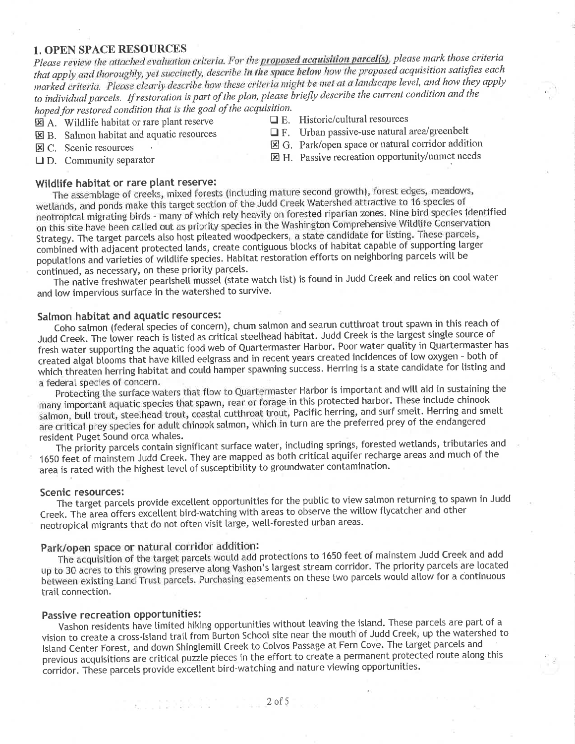# 1. OPEN SPACE RESOURCES

Please review the attached evaluation criteria. For the proposed acquisition parcel(s), please mark those criteria that apply and thoroughly, yet succinctly, describe in the space below how the proposed acquisition satisfies each marked criteria. Please clearly describe how these criteria might be met at a landscape level, and how they apply to individual parcels. If restoration is part of the plan, please briefly describe the current condition and the hoped for restored condition that is the goal of the acquisition.<br>  $\Pi$  A Wildlife habitat or rare plant reserve  $\Pi$  E. Historic/cultural resources

- 
- 
- **EX** C. Scenic resources **tractation EX** G. Park/open space or natural corridor addition **C**D. Community separator  $\boxtimes$  H. Passive recreation opportunity/unmet needs
- 

Wildlife habitat or rare plant reserve:<br>The assemblage of creeks, mixed forests (including mature second growth), forest edges, meadows, The assemblage of creeks, increased forests (including matter second growth, force to 16 species of wetlands, and ponds make this target section of the Judd Creek Watershed attractive to 16 species of neotropical migrating birds - many of which rely heavily on forested riparian zones. Nine bird species identified<br>on this site have been called out as priority species in the Washington Comprehensive Wildlife Conservation Strategy. The target parcels also host pileated woodpeckers, a state candidate for listing. These parcels, combined with adjacent protected lands, create contiguous blocks of habitat capable of supporting larger populations and varieties of wildlife species. Habitat restoration efforts on neighboring parcels will be continued, as necessary, on these priority parcels.

The native freshwater pearlshell mussel (state watch list) is found in Judd Creek and relies on cool water and low impervious surface in the watershed to survive.

## Salmon habitat and aquatic resources:

Coho salmon (federal species of concern), chum salmon and searun cutthroat trout spawn in this reach of Judd Creek. The lower reach is listed as critical steelhead habitat. Judd Creek is the largest single source of fresh water supporting the aquatic food web of Quartermaster Harbor. Poor water quality in Quartermaster has created algal blooms that have killed eelgrass and in recent years created incidences of low oxygen - both of which threaten herring habitat and could hamper spawning success. Herring is a state candidate for listing and<br>a federal species of concern.

Protecting the surface waters that flow to Quartermaster Harbor is important and will aid in sustaining the many important aquatic species that spawn, rear or forage in this protected harbor. These include chinook salmon, bull trout, steelhead trout, coastal cutthroat trout, Pacific herring, and surf smelt. Herring and smelt are critical prey species for adult chinook salmon, which in turn are the preferred prey of the endangered resident Puget Sound orca whales.

The priority parcels contain significant surface water, including springs, forested wetlands, tributaries and <sup>1650</sup>feet of mainstem Judd Creek. They are mapped as both criticat aquifer recharge areas and much of the area is rated with the highest level of susceptibility to groundwater contamination.

#### Scenic resources:

The target parcels provide excellent opportunities for the public to view salmon returning to spawn in Judd Creek. The area offers excellent bird-watching with areas to observe the willow flycatcher and other neotropical migrants that do not often visit large, well-forested urban areas.

# Park/open space or natural corridor addition:

ku terkili india

The acquisition of the target parcels would add protections to 1650 feet of mainstem Judd Creek and add up to 30 acres to this growing preserve along Vashon's largest stream corridor. The priority parcels are located between existing Land Trust parcels. Purchasing easements on these two parcels would allow for a continuous trail connection.

# Passive recreation opportunities:

Vashon residents have limited hiking opportunities without leaving the island. These parcels are part of a vision to create a cross-Island trail from Burton School site near the mouth of Judd Creek, up the watershed to Island Center Forest, and down Shinglemill Creek to Colvos Passage at Fern Cove. The target parcels and previous acquisitions are critical puzzle pieces in the effort to create a permanent protected route along this corridor. These parcels provide excellent bird-watching and nature viewing opportunities.

- 
- $\Box$  A. Wildlife habitat or rare plant reserve  $\Box$  E. Historic/cultural resources<br>  $\Box$  E. Urban passive-use natural area/greenbelt
- $\boxtimes$  B. Salmon habitat and aquatic resources  $\boxtimes$  C. Scenic resources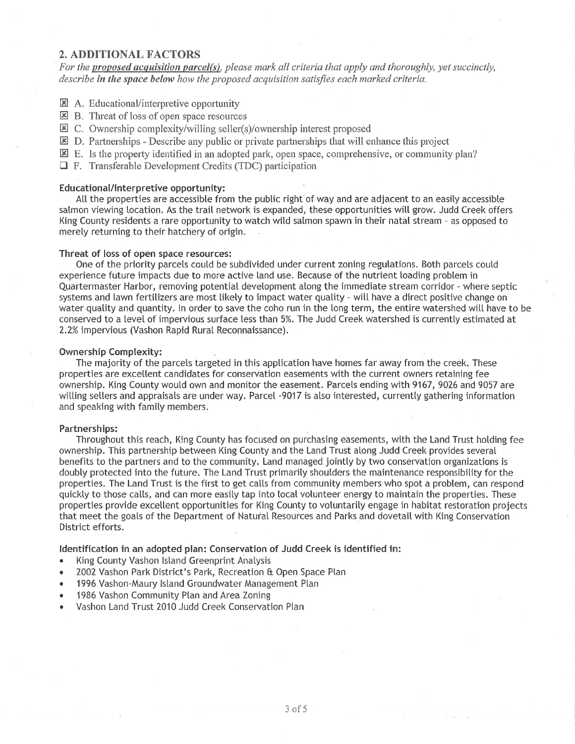## 2. ADDITIONAL FACTORS

For the proposed acquisition parcel(s), please mark all criteria that apply and thoroughly, yet succinctly, describe in the space below how the proposed acquisition satisfies each marked criteria.

- E A. Educational/interpretive opportunity
- **EX** B. Threat of loss of open space resources
- 二 C. Ownership complexity/willing seller(s)/ownership interest proposed
- $\overline{\mathbf{z}}$  D. Partnerships Describe any public or private partnerships that will enhance this project
- $\overline{\mathbf{E}}$  E. Is the property identified in an adopted park, open space, comprehensive, or community plan?
- $\Box$  F. Transferable Development Credits (TDC) participation

#### Educational/interpretive opportunity:

Att the properties are accessible from the pubtic right of way and are adjacent to an easity accessibte salmon viewing location. As the trail network is expanded, these opportunities will grow. Judd Creek offers King County residents a rare opportunity to watch wild salmon spawn in their natal stream - as opposed to merety returning to their hatchery of origin.

#### Threat of loss of open space resources:

One of the priority parcets coutd be subdivided under current zoning regulations. Both parcels coutd experience future impacts due to more active land use. Because of the nutrient loading probtem in Quartermaster Harbor, removing potential devetopment atong the immediate stream corridor - where septic systems and lawn fertilizers are most likely to impact water quatity - will have a direct positive change on water quality and quantity. In order to save the coho run in the long term, the entire watershed will have to be conserved to a level of impervious surface less than 5%. The Judd Creek watershed is currently estimated at 2.2% impervious (Vashon Rapid Rural Reconnaissance).

#### Ownership Complexity:

The majority of the parcels targeted in this application have homes far away from the creek. These properties are excellent candidates for conservation easements with the current owners retaining fee ownership. King County woutd own and monitor the easement. Parcels ending with 9167, 9026 and 9057 are witting setters and appraisals are under way. Parcel -9017 is atso interested, currentty gathering information and speaking with famity members.

### Partnerships:

Throughout this reach, King County has focused on purchasing easements, with the Land Trust holding fee ownership. This partnership between King County and the Land Trust atong Judd Creek provides several benefits to the partners and to the community. Land managed jointty by two conservation organizations is doubty protected into the future. The Land Trust primarity shoutders the maintenance responsibility for the properties. The Land Trust is the first to get calls from community members who spot a problem, can respond quickly to those calls, and can more easily tap into local volunteer energy to maintain the properties. These properties provide excetlent opportunities for King County to votuntarity engage in habitat restoration projects that meet the goats of the Department of Natural Resources and Parks and dovetait with King Conservation District efforts.

#### ldentification in an adopted plan: Conservation of Judd Creek is identified in:

- . King County Vashon lsland Greenprint Anatysis
- 2002 Vashon Park District's Park, Recreation & Open Space Plan
- 1996 Vashon-Maury Island Groundwater Management Plan
- . 1986 Vashon Community Plan and Area Zoning
- . Vashon Land Trust 2010 Judd Creek Conservation Ptan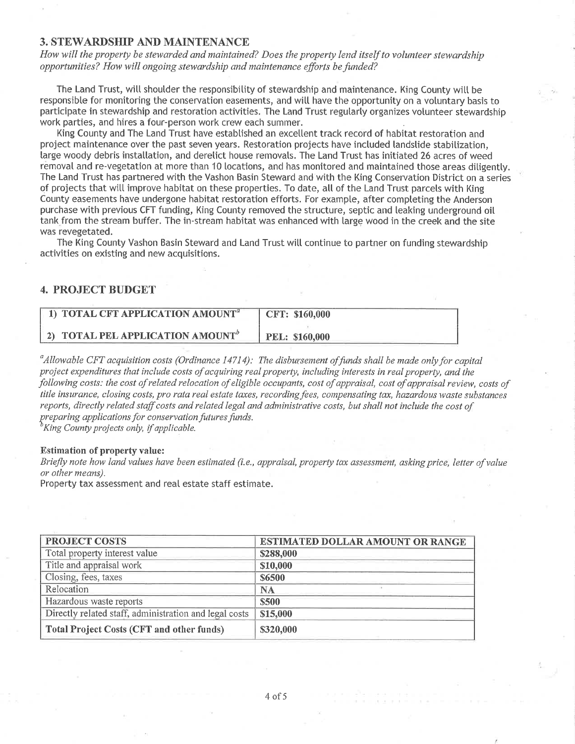## 3. STEWARDSHIP AND MAINTENANCE

How will the property be stewarded and maintained? Does the property lend itself to volunteer stewardship opportunities? How will ongoing stewardship and maintenance efforts be funded?

The Land Trust, will shoulder the responsibility of stewardship and maintenance. King County will be responsibte for monitoring the conservation easements, and witt have the opportunity on a votuntary basis to participate in stewardship and restoration activities. The Land Trust regutarty organizes votunteer stewardship work parties, and hires a four-person work crew each summer.

King County and The Land Trust have established an excellent track record of habitat restoration and project maintenance over the past seven years. Restoration projects have included landslide stabitization, large woody debris installation, and derelict house removals. The Land Trust has initiated 26 acres of weed removal and re-vegetation at more than 10 locations, and has monitored and maintained those areas ditigentty. The Land Trust has partnered with the Vashon Basin Steward and with the King Conservation District on a series of projects that will improve habitat on these properties. To date, all of the Land Trust parcels with King County easements have undergone habitat restoration efforts. For example, after compteting the Anderson purchase with previous CFT funding, King County removed the structure, septic and leaking underground oiI tank from the stream buffer. The in-stream habitat was enhanced with large wood in the creek and the site was revegetated.

The King County Vashon Basin Steward and Land Trust witt continue to partner on funding stewardship activities on existing and new acquisitions.

## 4. PROJECT BUDGET

| 1) TOTAL CFT APPLICATION AMOUNT <sup>a</sup> | CFT: \$160,000        |
|----------------------------------------------|-----------------------|
| 2) TOTAL PEL APPLICATION AMOUNT <sup>®</sup> | <b>PEL: \$160,000</b> |

<sup>a</sup>Allowable CFT acquisition costs (Ordinance 14714): The disbursement of funds shall be made only for capital project expenditures that include costs of acquiring real property, including interests in real property, and the following costs: the cost of related relocation of eligible occupants, cost of appraisal, cost of appraisal review, costs of title insurance, closing costs, pro rata real estate taxes, recording fees, compensating tax, hazardous waste substances reports, directly related staff costs and related legal and administrative costs, but shall not include the cost of preparing applications for conservation futures funds.<br><sup>b</sup>King County projects only, if applicable.

#### Estimation of property value:

Briefly note how land values have been estimated (i.e., appraisal, property tax assessment, asking price, letter of value or other means).

Property tax assessment and real estate staff estimate.

| PROJECT COSTS                                          | <b>ESTIMATED DOLLAR AMOUNT OR RANGE</b> |
|--------------------------------------------------------|-----------------------------------------|
| Total property interest value                          | \$288,000                               |
| Title and appraisal work                               | \$10,000                                |
| Closing, fees, taxes                                   | \$6500                                  |
| Relocation                                             | <b>NA</b>                               |
| Hazardous waste reports                                | \$500                                   |
| Directly related staff, administration and legal costs | \$15,000                                |
| <b>Total Project Costs (CFT and other funds)</b>       | \$320,000                               |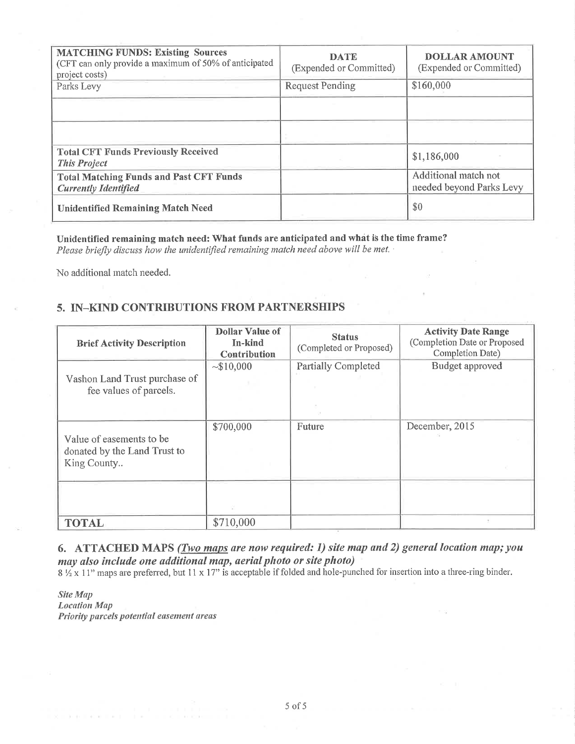| <b>MATCHING FUNDS: Existing Sources</b><br>(CFT can only provide a maximum of 50% of anticipated<br>project costs) | <b>DATE</b><br>(Expended or Committed) | <b>DOLLAR AMOUNT</b><br>(Expended or Committed)  |
|--------------------------------------------------------------------------------------------------------------------|----------------------------------------|--------------------------------------------------|
| Parks Levy                                                                                                         | <b>Request Pending</b>                 | \$160,000                                        |
|                                                                                                                    |                                        |                                                  |
| <b>Total CFT Funds Previously Received</b><br><b>This Project</b>                                                  |                                        | \$1,186,000                                      |
| <b>Total Matching Funds and Past CFT Funds</b><br><b>Currently Identified</b>                                      |                                        | Additional match not<br>needed beyond Parks Levy |
| <b>Unidentified Remaining Match Need</b>                                                                           |                                        | \$0                                              |

Unidentified remaining match need: What funds are anticipated and what is the time frame? Please briefly discuss how the unidentified remaining match need above will be met.

No additional match needed.

# 5. IN-KIND CONTRIBUTIONS FROM PARTNERSHIPS

| <b>Brief Activity Description</b>                                       | <b>Dollar Value of</b><br>In-kind<br><b>Contribution</b> | <b>Status</b><br>(Completed or Proposed) | <b>Activity Date Range</b><br>(Completion Date or Proposed<br>Completion Date) |
|-------------------------------------------------------------------------|----------------------------------------------------------|------------------------------------------|--------------------------------------------------------------------------------|
| Vashon Land Trust purchase of<br>fee values of parcels.                 | ~10,000                                                  | <b>Partially Completed</b>               | Budget approved                                                                |
| Value of easements to be<br>donated by the Land Trust to<br>King County | \$700,000                                                | Future                                   | December, 2015                                                                 |
| <b>TOTAL</b>                                                            | \$710,000                                                |                                          |                                                                                |

6. ATTACHED MAPS (*Two maps are now required: 1) site map and 2) general location map; you* may also include one additional map, aerial photo or site photo)

8 11" maps are preferred, but 11 x 17" is acceptable if folded and hole-punched for insertion into a three-ring binder.

Site Map **Location Map** Priority parcels potential easement areas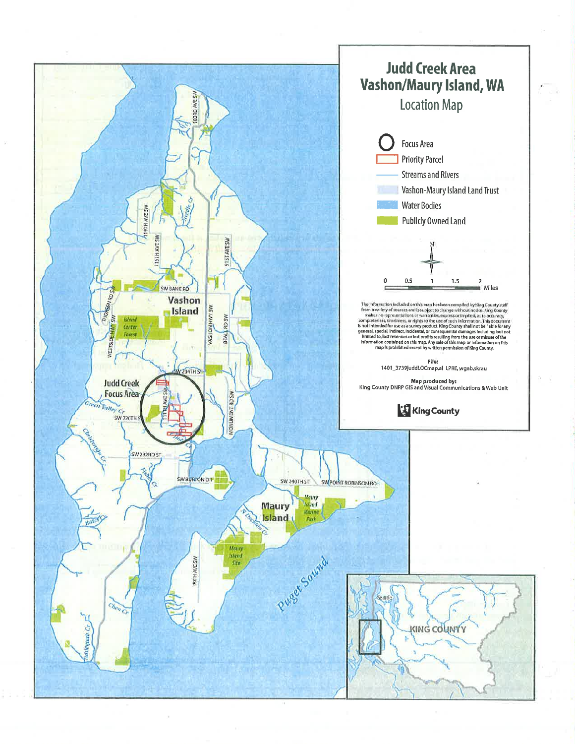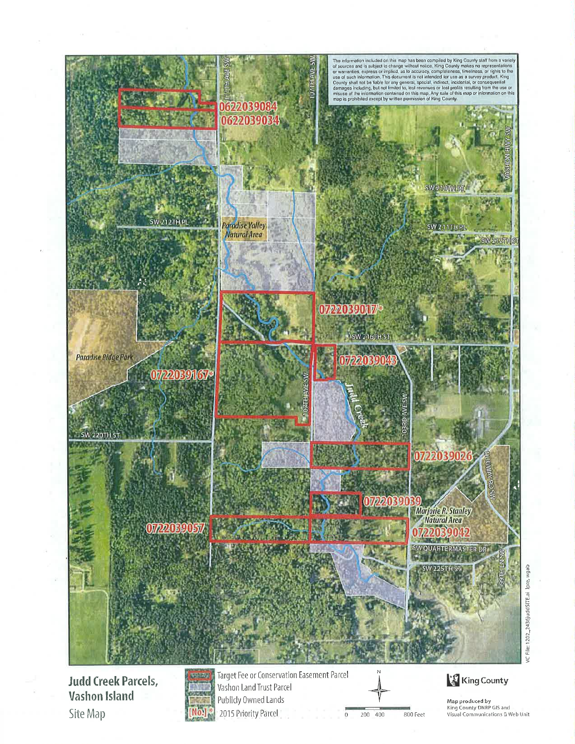

**Judd Creek Parcels, Vashon Island** Site Map



Target Fee or Conservation Easement Parcel Vashon Land Trust Parcel Publicly Owned Lands 2015 Priority Parcel

 $\overline{0}$ 200 400 800 Feet

**King County** 

Map produced by<br>King County DNRP GIS and Visual Communications & Web Unit